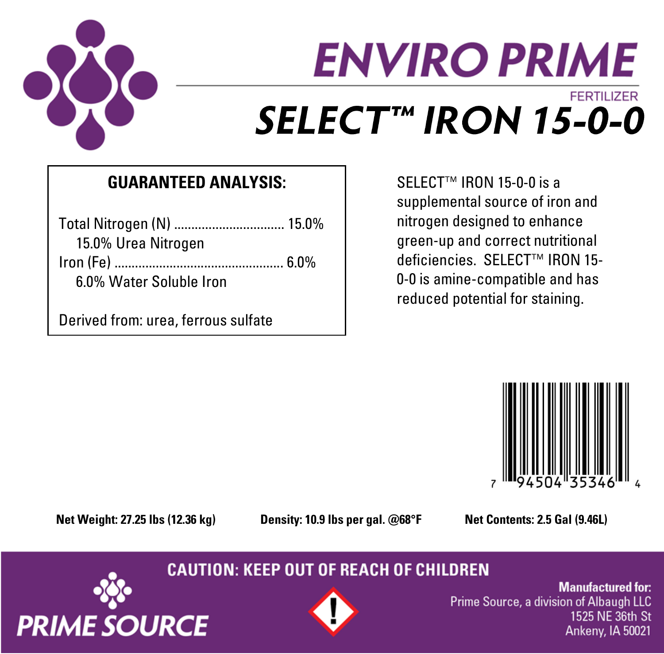

# **ENVIRO PRIME FERTILIZER** SELECT™ IRON 15-0-0

### **GUARANTEED ANALYSIS:**

| Total Nitrogen (N)  15.0% |  |
|---------------------------|--|
| 15.0% Urea Nitrogen       |  |
|                           |  |
| 6.0% Water Soluble Iron   |  |

Derived from: urea, ferrous sulfate

SELECT™ IRON 15-0-0 is a supplemental source of iron and nitrogen designed to enhance green-up and correct nutritional deficiencies. SELECT™ IRON 15- 0-0 is amine-compatible and has reduced potential for staining.



**Net Weight: 27.25 lbs (12.36 kg) Density: 10.9 lbs per gal. @68°F Net Contents: 2.5 Gal (9.46L)**

**CAUTION: KEEP OUT OF REACH OF CHILDREN** 





**Manufactured for:** Prime Source, a division of Albaugh LLC 1525 NE 36th St Ankeny, IA 50021